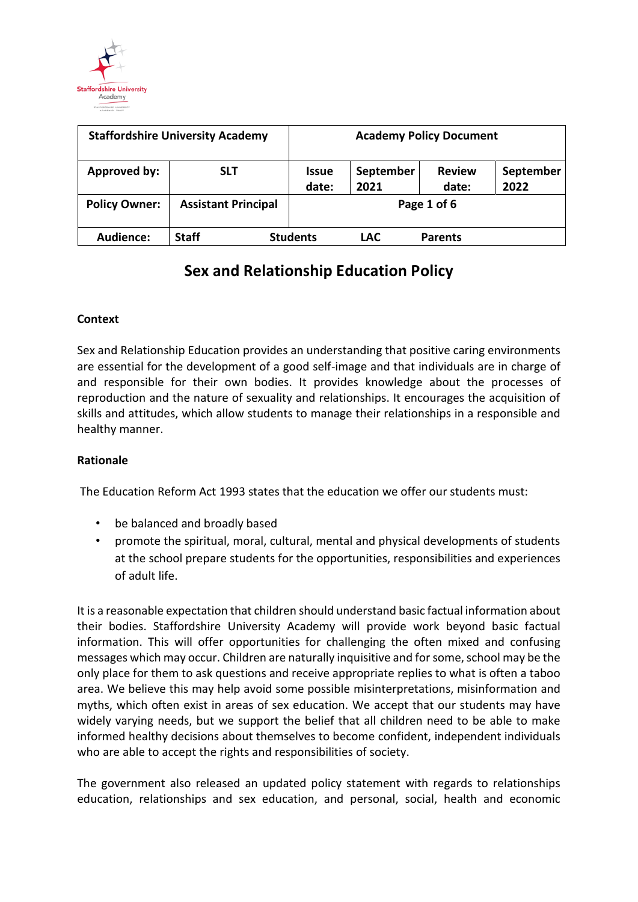

| <b>Staffordshire University Academy</b> |                            | <b>Academy Policy Document</b> |                   |                        |                   |
|-----------------------------------------|----------------------------|--------------------------------|-------------------|------------------------|-------------------|
| Approved by:                            | <b>SLT</b>                 | <b>Issue</b><br>date:          | September<br>2021 | <b>Review</b><br>date: | September<br>2022 |
| <b>Policy Owner:</b>                    | <b>Assistant Principal</b> | Page 1 of 6                    |                   |                        |                   |
| Audience:                               | <b>Staff</b>               | <b>Students</b>                | <b>LAC</b>        | <b>Parents</b>         |                   |

### **Context**

Sex and Relationship Education provides an understanding that positive caring environments are essential for the development of a good self-image and that individuals are in charge of and responsible for their own bodies. It provides knowledge about the processes of reproduction and the nature of sexuality and relationships. It encourages the acquisition of skills and attitudes, which allow students to manage their relationships in a responsible and healthy manner.

### **Rationale**

The Education Reform Act 1993 states that the education we offer our students must:

- be balanced and broadly based
- promote the spiritual, moral, cultural, mental and physical developments of students at the school prepare students for the opportunities, responsibilities and experiences of adult life.

It is a reasonable expectation that children should understand basic factual information about their bodies. Staffordshire University Academy will provide work beyond basic factual information. This will offer opportunities for challenging the often mixed and confusing messages which may occur. Children are naturally inquisitive and for some, school may be the only place for them to ask questions and receive appropriate replies to what is often a taboo area. We believe this may help avoid some possible misinterpretations, misinformation and myths, which often exist in areas of sex education. We accept that our students may have widely varying needs, but we support the belief that all children need to be able to make informed healthy decisions about themselves to become confident, independent individuals who are able to accept the rights and responsibilities of society.

The government also released an updated policy statement with regards to relationships education, relationships and sex education, and personal, social, health and economic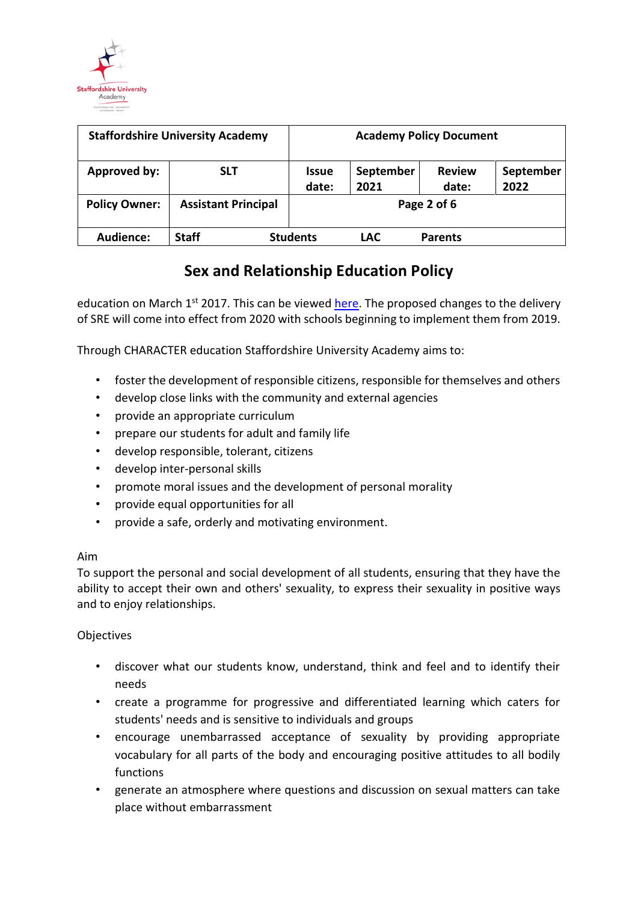

| <b>Staffordshire University Academy</b> |                            | <b>Academy Policy Document</b> |                   |                        |                   |
|-----------------------------------------|----------------------------|--------------------------------|-------------------|------------------------|-------------------|
| Approved by:                            | <b>SLT</b>                 | <b>Issue</b><br>date:          | September<br>2021 | <b>Review</b><br>date: | September<br>2022 |
| <b>Policy Owner:</b>                    | <b>Assistant Principal</b> | Page 2 of 6                    |                   |                        |                   |
| Audience:                               | <b>Staff</b>               | <b>Students</b>                | <b>LAC</b>        | <b>Parents</b>         |                   |

education on March  $1^{st}$  2017. This can be viewed [here.](https://www.gov.uk/government/publications/relationships-education-rse-and-pshe) The proposed changes to the delivery of SRE will come into effect from 2020 with schools beginning to implement them from 2019.

Through CHARACTER education Staffordshire University Academy aims to:

- foster the development of responsible citizens, responsible for themselves and others
- develop close links with the community and external agencies
- provide an appropriate curriculum
- prepare our students for adult and family life
- develop responsible, tolerant, citizens
- develop inter-personal skills
- promote moral issues and the development of personal morality
- provide equal opportunities for all
- provide a safe, orderly and motivating environment.

### Aim

To support the personal and social development of all students, ensuring that they have the ability to accept their own and others' sexuality, to express their sexuality in positive ways and to enjoy relationships.

### **Objectives**

- discover what our students know, understand, think and feel and to identify their needs
- create a programme for progressive and differentiated learning which caters for students' needs and is sensitive to individuals and groups
- encourage unembarrassed acceptance of sexuality by providing appropriate vocabulary for all parts of the body and encouraging positive attitudes to all bodily functions
- generate an atmosphere where questions and discussion on sexual matters can take place without embarrassment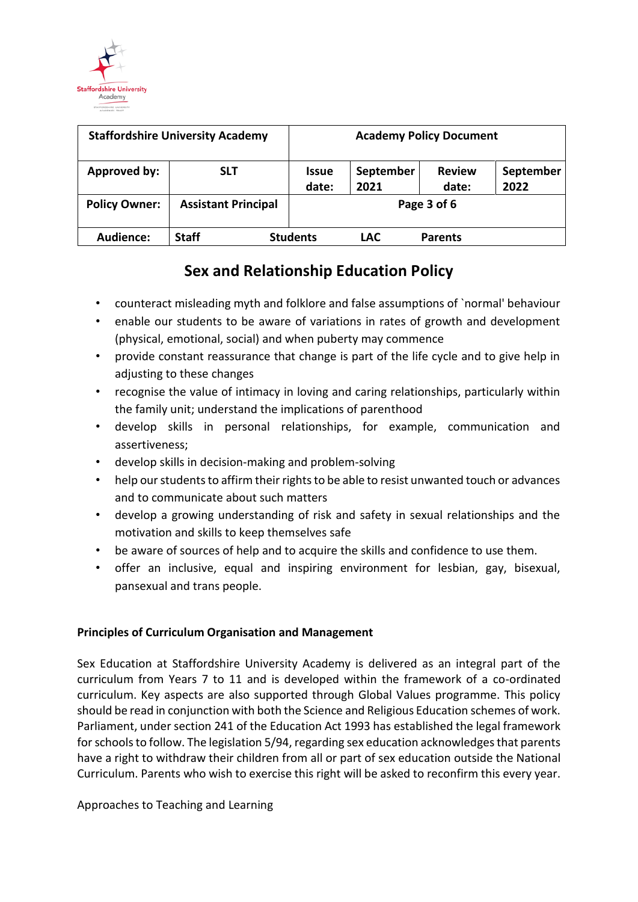

| <b>Staffordshire University Academy</b> |                            | <b>Academy Policy Document</b> |                   |                        |                   |
|-----------------------------------------|----------------------------|--------------------------------|-------------------|------------------------|-------------------|
| Approved by:                            | <b>SLT</b>                 | <b>Issue</b><br>date:          | September<br>2021 | <b>Review</b><br>date: | September<br>2022 |
| <b>Policy Owner:</b>                    | <b>Assistant Principal</b> | Page 3 of 6                    |                   |                        |                   |
| Audience:                               | <b>Staff</b>               | <b>Students</b>                | <b>LAC</b>        | <b>Parents</b>         |                   |

- counteract misleading myth and folklore and false assumptions of `normal' behaviour
- enable our students to be aware of variations in rates of growth and development (physical, emotional, social) and when puberty may commence
- provide constant reassurance that change is part of the life cycle and to give help in adjusting to these changes
- recognise the value of intimacy in loving and caring relationships, particularly within the family unit; understand the implications of parenthood
- develop skills in personal relationships, for example, communication and assertiveness;
- develop skills in decision-making and problem-solving
- help our students to affirm their rights to be able to resist unwanted touch or advances and to communicate about such matters
- develop a growing understanding of risk and safety in sexual relationships and the motivation and skills to keep themselves safe
- be aware of sources of help and to acquire the skills and confidence to use them.
- offer an inclusive, equal and inspiring environment for lesbian, gay, bisexual, pansexual and trans people.

### **Principles of Curriculum Organisation and Management**

Sex Education at Staffordshire University Academy is delivered as an integral part of the curriculum from Years 7 to 11 and is developed within the framework of a co-ordinated curriculum. Key aspects are also supported through Global Values programme. This policy should be read in conjunction with both the Science and Religious Education schemes of work. Parliament, under section 241 of the Education Act 1993 has established the legal framework for schools to follow. The legislation 5/94, regarding sex education acknowledges that parents have a right to withdraw their children from all or part of sex education outside the National Curriculum. Parents who wish to exercise this right will be asked to reconfirm this every year.

Approaches to Teaching and Learning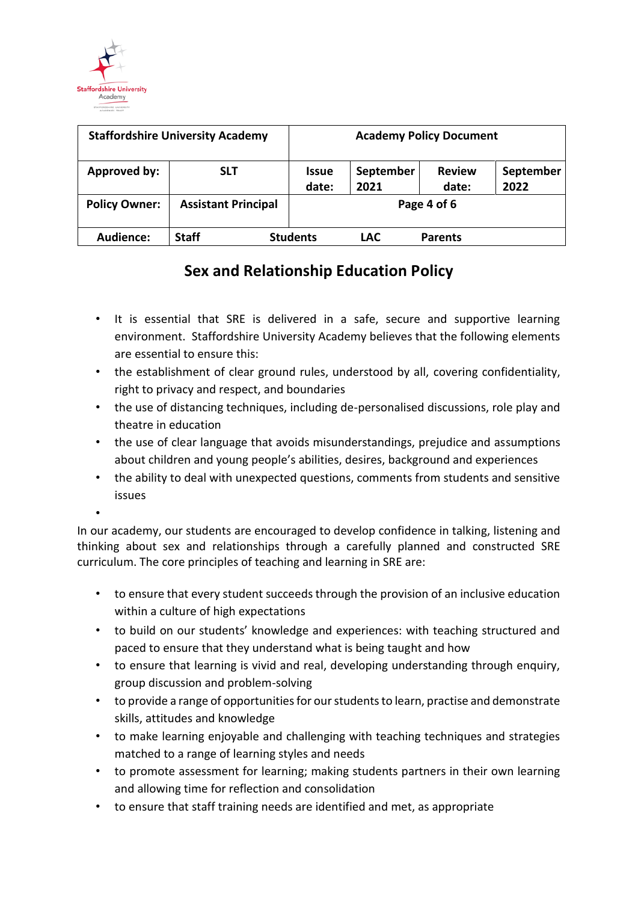

| <b>Staffordshire University Academy</b> |                            | <b>Academy Policy Document</b> |                   |                        |                   |
|-----------------------------------------|----------------------------|--------------------------------|-------------------|------------------------|-------------------|
| Approved by:                            | <b>SLT</b>                 | <b>Issue</b><br>date:          | September<br>2021 | <b>Review</b><br>date: | September<br>2022 |
| <b>Policy Owner:</b>                    | <b>Assistant Principal</b> | Page 4 of 6                    |                   |                        |                   |
| Audience:                               | <b>Staff</b>               | <b>Students</b>                | <b>LAC</b>        | <b>Parents</b>         |                   |

- It is essential that SRE is delivered in a safe, secure and supportive learning environment. Staffordshire University Academy believes that the following elements are essential to ensure this:
- the establishment of clear ground rules, understood by all, covering confidentiality, right to privacy and respect, and boundaries
- the use of distancing techniques, including de-personalised discussions, role play and theatre in education
- the use of clear language that avoids misunderstandings, prejudice and assumptions about children and young people's abilities, desires, background and experiences
- the ability to deal with unexpected questions, comments from students and sensitive issues
- •

In our academy, our students are encouraged to develop confidence in talking, listening and thinking about sex and relationships through a carefully planned and constructed SRE curriculum. The core principles of teaching and learning in SRE are:

- to ensure that every student succeeds through the provision of an inclusive education within a culture of high expectations
- to build on our students' knowledge and experiences: with teaching structured and paced to ensure that they understand what is being taught and how
- to ensure that learning is vivid and real, developing understanding through enquiry, group discussion and problem-solving
- to provide a range of opportunities for our students to learn, practise and demonstrate skills, attitudes and knowledge
- to make learning enjoyable and challenging with teaching techniques and strategies matched to a range of learning styles and needs
- to promote assessment for learning; making students partners in their own learning and allowing time for reflection and consolidation
- to ensure that staff training needs are identified and met, as appropriate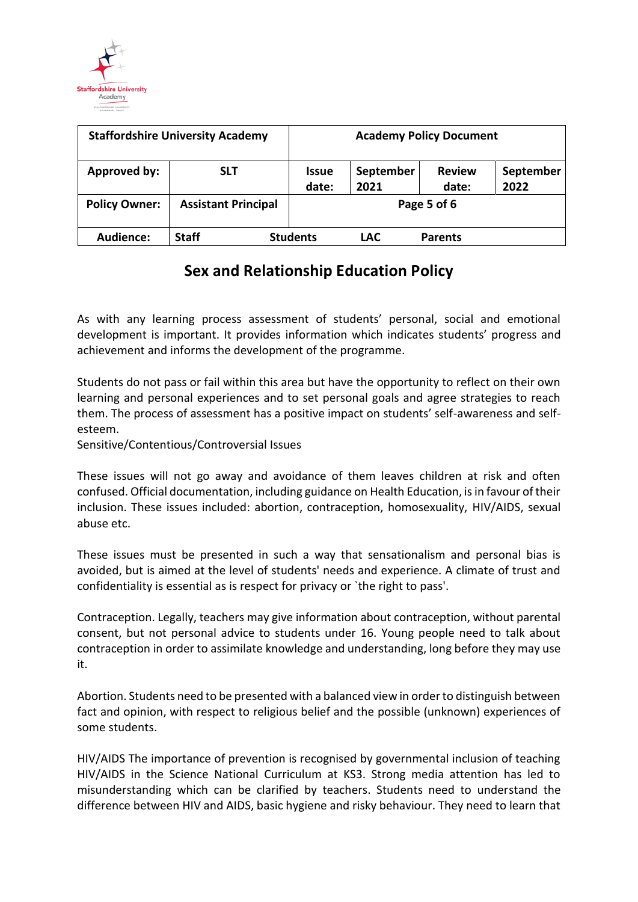

| <b>Staffordshire University Academy</b> |                            | <b>Academy Policy Document</b> |                   |                        |                   |
|-----------------------------------------|----------------------------|--------------------------------|-------------------|------------------------|-------------------|
| Approved by:                            | <b>SLT</b>                 | <b>Issue</b><br>date:          | September<br>2021 | <b>Review</b><br>date: | September<br>2022 |
| <b>Policy Owner:</b>                    | <b>Assistant Principal</b> | Page 5 of 6                    |                   |                        |                   |
| Audience:                               | <b>Staff</b>               | <b>Students</b>                | <b>LAC</b>        | <b>Parents</b>         |                   |

As with any learning process assessment of students' personal, social and emotional development is important. It provides information which indicates students' progress and achievement and informs the development of the programme.

Students do not pass or fail within this area but have the opportunity to reflect on their own learning and personal experiences and to set personal goals and agree strategies to reach them. The process of assessment has a positive impact on students' self-awareness and selfesteem.

Sensitive/Contentious/Controversial Issues

These issues will not go away and avoidance of them leaves children at risk and often confused. Official documentation, including guidance on Health Education, is in favour of their inclusion. These issues included: abortion, contraception, homosexuality, HIV/AIDS, sexual abuse etc.

These issues must be presented in such a way that sensationalism and personal bias is avoided, but is aimed at the level of students' needs and experience. A climate of trust and confidentiality is essential as is respect for privacy or `the right to pass'.

Contraception. Legally, teachers may give information about contraception, without parental consent, but not personal advice to students under 16. Young people need to talk about contraception in order to assimilate knowledge and understanding, long before they may use it.

Abortion. Students need to be presented with a balanced view in order to distinguish between fact and opinion, with respect to religious belief and the possible (unknown) experiences of some students.

HIV/AIDS The importance of prevention is recognised by governmental inclusion of teaching HIV/AIDS in the Science National Curriculum at KS3. Strong media attention has led to misunderstanding which can be clarified by teachers. Students need to understand the difference between HIV and AIDS, basic hygiene and risky behaviour. They need to learn that